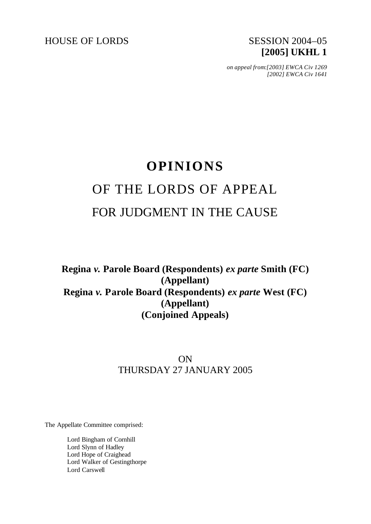HOUSE OF LORDS SESSION 2004-05

# **[2005] UKHL 1**

*on appeal from:[2003] EWCA Civ 1269 [2002] EWCA Civ 1641*

## **OPINIONS** OF THE LORDS OF APPEAL FOR JUDGMENT IN THE CAUSE

## **Regina** *v.* **Parole Board (Respondents)** *ex parte* **Smith (FC) (Appellant) Regina** *v.* **Parole Board (Respondents)** *ex parte* **West (FC) (Appellant) (Conjoined Appeals)**

### ON THURSDAY 27 JANUARY 2005

The Appellate Committee comprised:

Lord Bingham of Cornhill Lord Slynn of Hadley Lord Hope of Craighead Lord Walker of Gestingthorpe Lord Carswell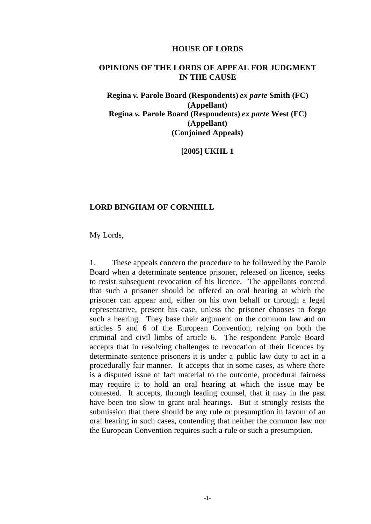#### **HOUSE OF LORDS**

#### **OPINIONS OF THE LORDS OF APPEAL FOR JUDGMENT IN THE CAUSE**

**Regina** *v.* **Parole Board (Respondents)** *ex parte* **Smith (FC) (Appellant) Regina** *v.* **Parole Board (Respondents)** *ex parte* **West (FC) (Appellant) (Conjoined Appeals)**

**[2005] UKHL 1**

#### **LORD BINGHAM OF CORNHILL**

My Lords,

1. These appeals concern the procedure to be followed by the Parole Board when a determinate sentence prisoner, released on licence, seeks to resist subsequent revocation of his licence. The appellants contend that such a prisoner should be offered an oral hearing at which the prisoner can appear and, either on his own behalf or through a legal representative, present his case, unless the prisoner chooses to forgo such a hearing. They base their argument on the common law and on articles 5 and 6 of the European Convention, relying on both the criminal and civil limbs of article 6. The respondent Parole Board accepts that in resolving challenges to revocation of their licences by determinate sentence prisoners it is under a public law duty to act in a procedurally fair manner. It accepts that in some cases, as where there is a disputed issue of fact material to the outcome, procedural fairness may require it to hold an oral hearing at which the issue may be contested. It accepts, through leading counsel, that it may in the past have been too slow to grant oral hearings. But it strongly resists the submission that there should be any rule or presumption in favour of an oral hearing in such cases, contending that neither the common law nor the European Convention requires such a rule or such a presumption.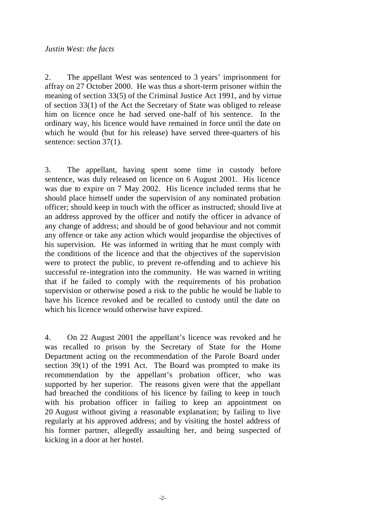#### *Justin West: the facts*

2. The appellant West was sentenced to 3 years' imprisonment for affray on 27 October 2000. He was thus a short-term prisoner within the meaning of section 33(5) of the Criminal Justice Act 1991, and by virtue of section 33(1) of the Act the Secretary of State was obliged to release him on licence once he had served one-half of his sentence. In the ordinary way, his licence would have remained in force until the date on which he would (but for his release) have served three-quarters of his sentence: section 37(1).

3. The appellant, having spent some time in custody before sentence, was duly released on licence on 6 August 2001. His licence was due to expire on 7 May 2002. His licence included terms that he should place himself under the supervision of any nominated probation officer; should keep in touch with the officer as instructed; should live at an address approved by the officer and notify the officer in advance of any change of address; and should be of good behaviour and not commit any offence or take any action which would jeopardise the objectives of his supervision. He was informed in writing that he must comply with the conditions of the licence and that the objectives of the supervision were to protect the public, to prevent re-offending and to achieve his successful re-integration into the community. He was warned in writing that if he failed to comply with the requirements of his probation supervision or otherwise posed a risk to the public he would be liable to have his licence revoked and be recalled to custody until the date on which his licence would otherwise have expired.

4. On 22 August 2001 the appellant's licence was revoked and he was recalled to prison by the Secretary of State for the Home Department acting on the recommendation of the Parole Board under section 39(1) of the 1991 Act. The Board was prompted to make its recommendation by the appellant's probation officer, who was supported by her superior. The reasons given were that the appellant had breached the conditions of his licence by failing to keep in touch with his probation officer in failing to keep an appointment on 20 August without giving a reasonable explanation; by failing to live regularly at his approved address; and by visiting the hostel address of his former partner, allegedly assaulting her, and being suspected of kicking in a door at her hostel.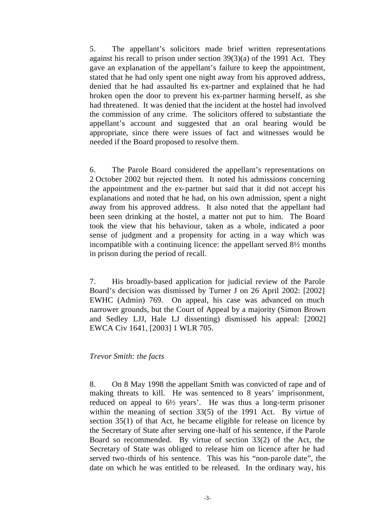5. The appellant's solicitors made brief written representations against his recall to prison under section 39(3)(a) of the 1991 Act. They gave an explanation of the appellant's failure to keep the appointment, stated that he had only spent one night away from his approved address, denied that he had assaulted his ex-partner and explained that he had broken open the door to prevent his ex-partner harming herself, as she had threatened. It was denied that the incident at the hostel had involved the commission of any crime. The solicitors offered to substantiate the appellant's account and suggested that an oral hearing would be appropriate, since there were issues of fact and witnesses would be needed if the Board proposed to resolve them.

6. The Parole Board considered the appellant's representations on 2 October 2002 but rejected them. It noted his admissions concerning the appointment and the ex-partner but said that it did not accept his explanations and noted that he had, on his own admission, spent a night away from his approved address. It also noted that the appellant had been seen drinking at the hostel, a matter not put to him. The Board took the view that his behaviour, taken as a whole, indicated a poor sense of judgment and a propensity for acting in a way which was incompatible with a continuing licence: the appellant served 8½ months in prison during the period of recall.

7. His broadly-based application for judicial review of the Parole Board's decision was dismissed by Turner J on 26 April 2002: [2002] EWHC (Admin) 769. On appeal, his case was advanced on much narrower grounds, but the Court of Appeal by a majority (Simon Brown and Sedley LJJ, Hale LJ dissenting) dismissed his appeal: [2002] EWCA Civ 1641, [2003] 1 WLR 705.

#### *Trevor Smith: the facts*

8. On 8 May 1998 the appellant Smith was convicted of rape and of making threats to kill. He was sentenced to 8 years' imprisonment, reduced on appeal to 6½ years'. He was thus a long-term prisoner within the meaning of section 33(5) of the 1991 Act. By virtue of section 35(1) of that Act, he became eligible for release on licence by the Secretary of State after serving one-half of his sentence, if the Parole Board so recommended. By virtue of section 33(2) of the Act, the Secretary of State was obliged to release him on licence after he had served two-thirds of his sentence. This was his "non-parole date", the date on which he was entitled to be released. In the ordinary way, his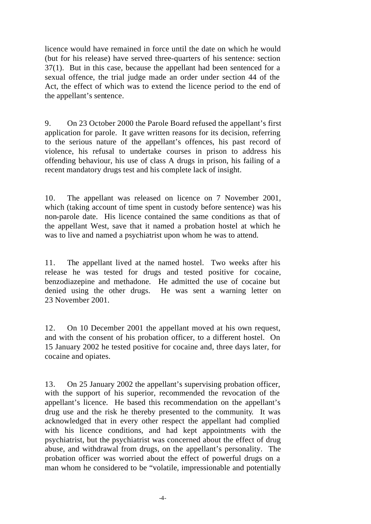licence would have remained in force until the date on which he would (but for his release) have served three-quarters of his sentence: section 37(1). But in this case, because the appellant had been sentenced for a sexual offence, the trial judge made an order under section 44 of the Act, the effect of which was to extend the licence period to the end of the appellant's sentence.

9. On 23 October 2000 the Parole Board refused the appellant's first application for parole. It gave written reasons for its decision, referring to the serious nature of the appellant's offences, his past record of violence, his refusal to undertake courses in prison to address his offending behaviour, his use of class A drugs in prison, his failing of a recent mandatory drugs test and his complete lack of insight.

10. The appellant was released on licence on 7 November 2001, which (taking account of time spent in custody before sentence) was his non-parole date. His licence contained the same conditions as that of the appellant West, save that it named a probation hostel at which he was to live and named a psychiatrist upon whom he was to attend.

11. The appellant lived at the named hostel. Two weeks after his release he was tested for drugs and tested positive for cocaine, benzodiazepine and methadone. He admitted the use of cocaine but denied using the other drugs. He was sent a warning letter on 23 November 2001.

12. On 10 December 2001 the appellant moved at his own request, and with the consent of his probation officer, to a different hostel. On 15 January 2002 he tested positive for cocaine and, three days later, for cocaine and opiates.

13. On 25 January 2002 the appellant's supervising probation officer, with the support of his superior, recommended the revocation of the appellant's licence. He based this recommendation on the appellant's drug use and the risk he thereby presented to the community. It was acknowledged that in every other respect the appellant had complied with his licence conditions, and had kept appointments with the psychiatrist, but the psychiatrist was concerned about the effect of drug abuse, and withdrawal from drugs, on the appellant's personality. The probation officer was worried about the effect of powerful drugs on a man whom he considered to be "volatile, impressionable and potentially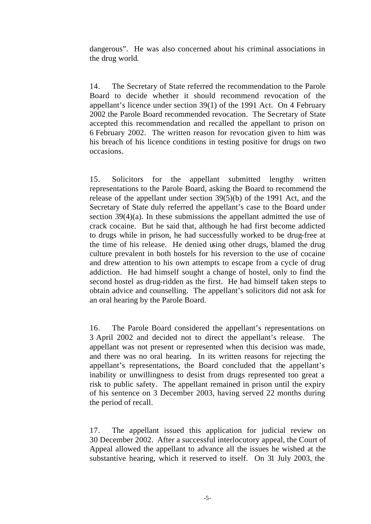dangerous". He was also concerned about his criminal associations in the drug world.

14. The Secretary of State referred the recommendation to the Parole Board to decide whether it should recommend revocation of the appellant's licence under section 39(1) of the 1991 Act. On 4 February 2002 the Parole Board recommended revocation. The Secretary of State accepted this recommendation and recalled the appellant to prison on 6 February 2002. The written reason for revocation given to him was his breach of his licence conditions in testing positive for drugs on two occasions.

15. Solicitors for the appellant submitted lengthy written representations to the Parole Board, asking the Board to recommend the release of the appellant under section 39(5)(b) of the 1991 Act, and the Secretary of State duly referred the appellant's case to the Board under section 39(4)(a). In these submissions the appellant admitted the use of crack cocaine. But he said that, although he had first become addicted to drugs while in prison, he had successfully worked to be drug-free at the time of his release. He denied using other drugs, blamed the drug culture prevalent in both hostels for his reversion to the use of cocaine and drew attention to his own attempts to escape from a cycle of drug addiction. He had himself sought a change of hostel, only to find the second hostel as drug-ridden as the first. He had himself taken steps to obtain advice and counselling. The appellant's solicitors did not ask for an oral hearing by the Parole Board.

16. The Parole Board considered the appellant's representations on 3 April 2002 and decided not to direct the appellant's release. The appellant was not present or represented when this decision was made, and there was no oral hearing. In its written reasons for rejecting the appellant's representations, the Board concluded that the appellant's inability or unwillingness to desist from drugs represented too great a risk to public safety. The appellant remained in prison until the expiry of his sentence on 3 December 2003, having served 22 months during the period of recall.

17. The appellant issued this application for judicial review on 30 December 2002. After a successful interlocutory appeal, the Court of Appeal allowed the appellant to advance all the issues he wished at the substantive hearing, which it reserved to itself. On 31 July 2003, the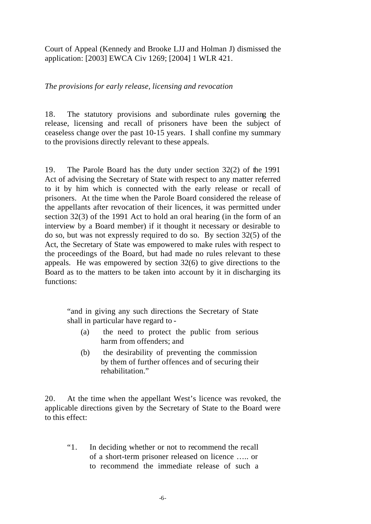Court of Appeal (Kennedy and Brooke LJJ and Holman J) dismissed the application: [2003] EWCA Civ 1269; [2004] 1 WLR 421.

*The provisions for early release, licensing and revocation*

18. The statutory provisions and subordinate rules governing the release, licensing and recall of prisoners have been the subject of ceaseless change over the past 10-15 years. I shall confine my summary to the provisions directly relevant to these appeals.

19. The Parole Board has the duty under section 32(2) of the 1991 Act of advising the Secretary of State with respect to any matter referred to it by him which is connected with the early release or recall of prisoners. At the time when the Parole Board considered the release of the appellants after revocation of their licences, it was permitted under section 32(3) of the 1991 Act to hold an oral hearing (in the form of an interview by a Board member) if it thought it necessary or desirable to do so, but was not expressly required to do so. By section 32(5) of the Act, the Secretary of State was empowered to make rules with respect to the proceedings of the Board, but had made no rules relevant to these appeals. He was empowered by section 32(6) to give directions to the Board as to the matters to be taken into account by it in discharging its functions:

"and in giving any such directions the Secretary of State shall in particular have regard to -

- (a) the need to protect the public from serious harm from offenders; and
- (b) the desirability of preventing the commission by them of further offences and of securing their rehabilitation."

20. At the time when the appellant West's licence was revoked, the applicable directions given by the Secretary of State to the Board were to this effect:

"1. In deciding whether or not to recommend the recall of a short-term prisoner released on licence ….. or to recommend the immediate release of such a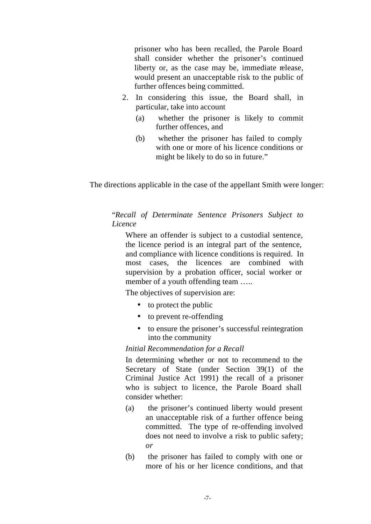prisoner who has been recalled, the Parole Board shall consider whether the prisoner's continued liberty or, as the case may be, immediate release, would present an unacceptable risk to the public of further offences being committed.

- 2. In considering this issue, the Board shall, in particular, take into account
	- (a) whether the prisoner is likely to commit further offences, and
	- (b) whether the prisoner has failed to comply with one or more of his licence conditions or might be likely to do so in future."

The directions applicable in the case of the appellant Smith were longer:

#### "*Recall of Determinate Sentence Prisoners Subject to Licence*

Where an offender is subject to a custodial sentence, the licence period is an integral part of the sentence, and compliance with licence conditions is required. In most cases, the licences are combined with supervision by a probation officer, social worker or member of a youth offending team .....

The objectives of supervision are:

- to protect the public
- to prevent re-offending
- to ensure the prisoner's successful reintegration into the community

#### *Initial Recommendation for a Recall*

In determining whether or not to recommend to the Secretary of State (under Section 39(1) of the Criminal Justice Act 1991) the recall of a prisoner who is subject to licence, the Parole Board shall consider whether:

- (a) the prisoner's continued liberty would present an unacceptable risk of a further offence being committed. The type of re-offending involved does not need to involve a risk to public safety; *or*
- (b) the prisoner has failed to comply with one or more of his or her licence conditions, and that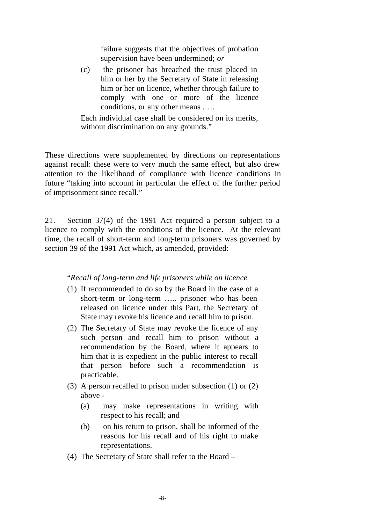failure suggests that the objectives of probation supervision have been undermined; *or*

(c) the prisoner has breached the trust placed in him or her by the Secretary of State in releasing him or her on licence, whether through failure to comply with one or more of the licence conditions, or any other means …..

Each individual case shall be considered on its merits, without discrimination on any grounds."

These directions were supplemented by directions on representations against recall: these were to very much the same effect, but also drew attention to the likelihood of compliance with licence conditions in future "taking into account in particular the effect of the further period of imprisonment since recall."

21. Section 37(4) of the 1991 Act required a person subject to a licence to comply with the conditions of the licence. At the relevant time, the recall of short-term and long-term prisoners was governed by section 39 of the 1991 Act which, as amended, provided:

#### "*Recall of long-term and life prisoners while on licence*

- (1) If recommended to do so by the Board in the case of a short-term or long-term ….. prisoner who has been released on licence under this Part, the Secretary of State may revoke his licence and recall him to prison.
- (2) The Secretary of State may revoke the licence of any such person and recall him to prison without a recommendation by the Board, where it appears to him that it is expedient in the public interest to recall that person before such a recommendation is practicable.
- (3) A person recalled to prison under subsection (1) or (2) above -
	- (a) may make representations in writing with respect to his recall; and
	- (b) on his return to prison, shall be informed of the reasons for his recall and of his right to make representations.
- (4) The Secretary of State shall refer to the Board –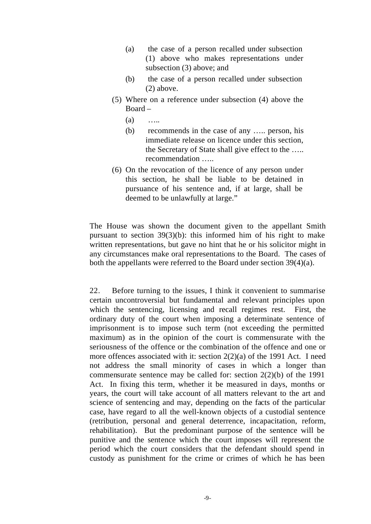- (a) the case of a person recalled under subsection (1) above who makes representations under subsection (3) above; and
- (b) the case of a person recalled under subsection (2) above.
- (5) Where on a reference under subsection (4) above the Board –
	- (a) …..
	- (b) recommends in the case of any ….. person, his immediate release on licence under this section, the Secretary of State shall give effect to the ….. recommendation …..
- (6) On the revocation of the licence of any person under this section, he shall be liable to be detained in pursuance of his sentence and, if at large, shall be deemed to be unlawfully at large."

The House was shown the document given to the appellant Smith pursuant to section  $39(3)(b)$ : this informed him of his right to make written representations, but gave no hint that he or his solicitor might in any circumstances make oral representations to the Board. The cases of both the appellants were referred to the Board under section 39(4)(a).

22. Before turning to the issues, I think it convenient to summarise certain uncontroversial but fundamental and relevant principles upon which the sentencing, licensing and recall regimes rest. First, the ordinary duty of the court when imposing a determinate sentence of imprisonment is to impose such term (not exceeding the permitted maximum) as in the opinion of the court is commensurate with the seriousness of the offence or the combination of the offence and one or more offences associated with it: section 2(2)(a) of the 1991 Act. I need not address the small minority of cases in which a longer than commensurate sentence may be called for: section 2(2)(b) of the 1991 Act. In fixing this term, whether it be measured in days, months or years, the court will take account of all matters relevant to the art and science of sentencing and may, depending on the facts of the particular case, have regard to all the well-known objects of a custodial sentence (retribution, personal and general deterrence, incapacitation, reform, rehabilitation). But the predominant purpose of the sentence will be punitive and the sentence which the court imposes will represent the period which the court considers that the defendant should spend in custody as punishment for the crime or crimes of which he has been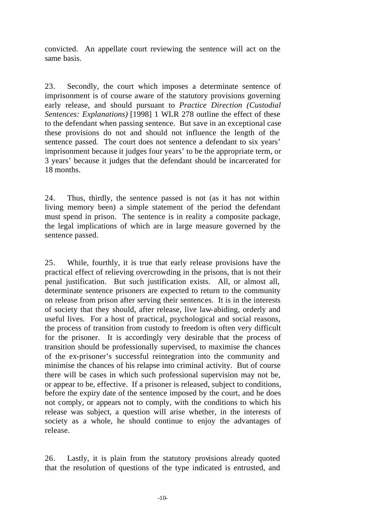convicted. An appellate court reviewing the sentence will act on the same basis.

23. Secondly, the court which imposes a determinate sentence of imprisonment is of course aware of the statutory provisions governing early release, and should pursuant to *Practice Direction (Custodial Sentences: Explanations)* [1998] 1 WLR 278 outline the effect of these to the defendant when passing sentence. But save in an exceptional case these provisions do not and should not influence the length of the sentence passed. The court does not sentence a defendant to six years' imprisonment because it judges four years' to be the appropriate term, or 3 years' because it judges that the defendant should be incarcerated for 18 months.

24. Thus, thirdly, the sentence passed is not (as it has not within living memory been) a simple statement of the period the defendant must spend in prison. The sentence is in reality a composite package, the legal implications of which are in large measure governed by the sentence passed.

25. While, fourthly, it is true that early release provisions have the practical effect of relieving overcrowding in the prisons, that is not their penal justification. But such justification exists. All, or almost all, determinate sentence prisoners are expected to return to the community on release from prison after serving their sentences. It is in the interests of society that they should, after release, live law-abiding, orderly and useful lives. For a host of practical, psychological and social reasons, the process of transition from custody to freedom is often very difficult for the prisoner. It is accordingly very desirable that the process of transition should be professionally supervised, to maximise the chances of the ex-prisoner's successful reintegration into the community and minimise the chances of his relapse into criminal activity. But of course there will be cases in which such professional supervision may not be, or appear to be, effective. If a prisoner is released, subject to conditions, before the expiry date of the sentence imposed by the court, and he does not comply, or appears not to comply, with the conditions to which his release was subject, a question will arise whether, in the interests of society as a whole, he should continue to enjoy the advantages of release.

26. Lastly, it is plain from the statutory provisions already quoted that the resolution of questions of the type indicated is entrusted, and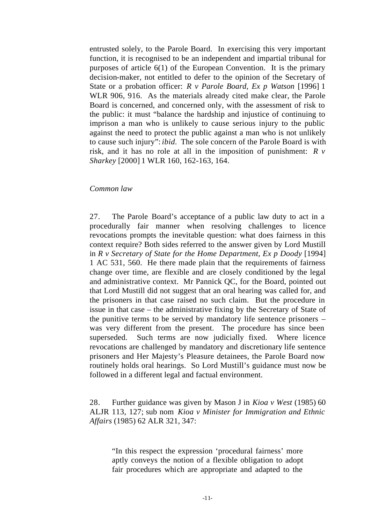entrusted solely, to the Parole Board. In exercising this very important function, it is recognised to be an independent and impartial tribunal for purposes of article 6(1) of the European Convention. It is the primary decision-maker, not entitled to defer to the opinion of the Secretary of State or a probation officer: *R v Parole Board, Ex p Watson* [1996] 1 WLR 906, 916. As the materials already cited make clear, the Parole Board is concerned, and concerned only, with the assessment of risk to the public: it must "balance the hardship and injustice of continuing to imprison a man who is unlikely to cause serious injury to the public against the need to protect the public against a man who is not unlikely to cause such injury": *ibid.* The sole concern of the Parole Board is with risk, and it has no role at all in the imposition of punishment: *R v Sharkey* [2000] 1 WLR 160, 162-163, 164.

#### *Common law*

27. The Parole Board's acceptance of a public law duty to act in a procedurally fair manner when resolving challenges to licence revocations prompts the inevitable question: what does fairness in this context require? Both sides referred to the answer given by Lord Mustill in *R v Secretary of State for the Home Department, Ex p Doody* [1994] 1 AC 531, 560. He there made plain that the requirements of fairness change over time, are flexible and are closely conditioned by the legal and administrative context. Mr Pannick QC, for the Board, pointed out that Lord Mustill did not suggest that an oral hearing was called for, and the prisoners in that case raised no such claim. But the procedure in issue in that case – the administrative fixing by the Secretary of State of the punitive terms to be served by mandatory life sentence prisoners – was very different from the present. The procedure has since been superseded. Such terms are now judicially fixed. Where licence revocations are challenged by mandatory and discretionary life sentence prisoners and Her Majesty's Pleasure detainees, the Parole Board now routinely holds oral hearings. So Lord Mustill's guidance must now be followed in a different legal and factual environment.

28. Further guidance was given by Mason J in *Kioa v West* (1985) 60 ALJR 113, 127; sub nom *Kioa v Minister for Immigration and Ethnic Affairs* (1985) 62 ALR 321, 347:

"In this respect the expression 'procedural fairness' more aptly conveys the notion of a flexible obligation to adopt fair procedures which are appropriate and adapted to the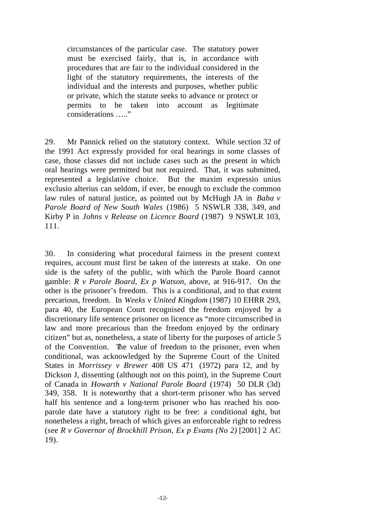circumstances of the particular case. The statutory power must be exercised fairly, that is, in accordance with procedures that are fair to the individual considered in the light of the statutory requirements, the interests of the individual and the interests and purposes, whether public or private, which the statute seeks to advance or protect or permits to be taken into account as legitimate considerations ….."

29. Mr Pannick relied on the statutory context. While section 32 of the 1991 Act expressly provided for oral hearings in some classes of case, those classes did not include cases such as the present in which oral hearings were permitted but not required. That, it was submitted, represented a legislative choice. But the maxim expressio unius exclusio alterius can seldom, if ever, be enough to exclude the common law rules of natural justice, as pointed out by McHugh JA in *Baba v Parole Board of New South Wales* (1986) 5 NSWLR 338, 349, and Kirby P in *Johns v Release on Licence Board* (1987) 9 NSWLR 103, 111.

30. In considering what procedural fairness in the present context requires, account must first be taken of the interests at stake. On one side is the safety of the public, with which the Parole Board cannot gamble: *R v Parole Board, Ex p Watson,* above, at 916-917. On the other is the prisoner's freedom. This is a conditional, and to that extent precarious, freedom. In *Weeks v United Kingdom* (1987) 10 EHRR 293, para 40, the European Court recognised the freedom enjoyed by a discretionary life sentence prisoner on licence as "more circumscribed in law and more precarious than the freedom enjoyed by the ordinary citizen" but as, nonetheless, a state of liberty for the purposes of article 5 of the Convention. The value of freedom to the prisoner, even when conditional, was acknowledged by the Supreme Court of the United States in *Morrissey v Brewer* 408 US 471 (1972) para 12, and by Dickson J, dissenting (although not on this point), in the Supreme Court of Canada in *Howarth v National Parole Board* (1974) 50 DLR (3d) 349, 358. It is noteworthy that a short-term prisoner who has served half his sentence and a long-term prisoner who has reached his nonparole date have a statutory right to be free: a conditional right, but nonetheless a right, breach of which gives an enforceable right to redress (see *R v Governor of Brockhill Prison, Ex p Evans (No 2)* [2001] 2 AC 19).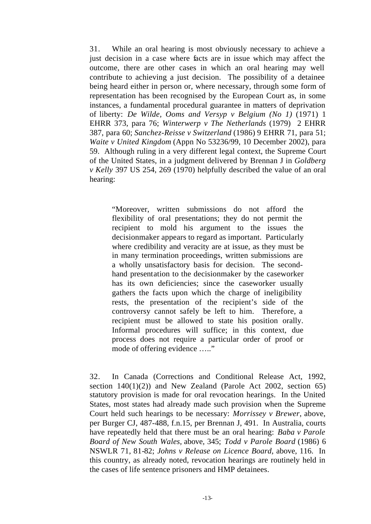31. While an oral hearing is most obviously necessary to achieve a just decision in a case where facts are in issue which may affect the outcome, there are other cases in which an oral hearing may well contribute to achieving a just decision. The possibility of a detainee being heard either in person or, where necessary, through some form of representation has been recognised by the European Court as, in some instances, a fundamental procedural guarantee in matters of deprivation of liberty: *De Wilde, Ooms and Versyp v Belgium (No 1)* (1971) 1 EHRR 373, para 76; *Winterwerp v The Netherlands* (1979) 2 EHRR 387, para 60; *Sanchez-Reisse v Switzerland* (1986) 9 EHRR 71, para 51; *Waite v United Kingdom* (Appn No 53236/99, 10 December 2002), para 59. Although ruling in a very different legal context, the Supreme Court of the United States, in a judgment delivered by Brennan J in *Goldberg v Kelly* 397 US 254, 269 (1970) helpfully described the value of an oral hearing:

"Moreover, written submissions do not afford the flexibility of oral presentations; they do not permit the recipient to mold his argument to the issues the decisionmaker appears to regard as important. Particularly where credibility and veracity are at issue, as they must be in many termination proceedings, written submissions are a wholly unsatisfactory basis for decision. The secondhand presentation to the decisionmaker by the caseworker has its own deficiencies; since the caseworker usually gathers the facts upon which the charge of ineligibility rests, the presentation of the recipient's side of the controversy cannot safely be left to him. Therefore, a recipient must be allowed to state his position orally. Informal procedures will suffice; in this context, due process does not require a particular order of proof or mode of offering evidence ….."

32. In Canada (Corrections and Conditional Release Act, 1992, section  $140(1)(2)$  and New Zealand (Parole Act 2002, section 65) statutory provision is made for oral revocation hearings. In the United States, most states had already made such provision when the Supreme Court held such hearings to be necessary: *Morrissey v Brewer*, above, per Burger CJ, 487-488, f.n.15, per Brennan J, 491. In Australia, courts have repeatedly held that there must be an oral hearing: *Baba v Parole Board of New South Wales,* above, 345; *Todd v Parole Board* (1986) 6 NSWLR 71, 81-82; *Johns v Release on Licence Board*, above, 116. In this country, as already noted, revocation hearings are routinely held in the cases of life sentence prisoners and HMP detainees.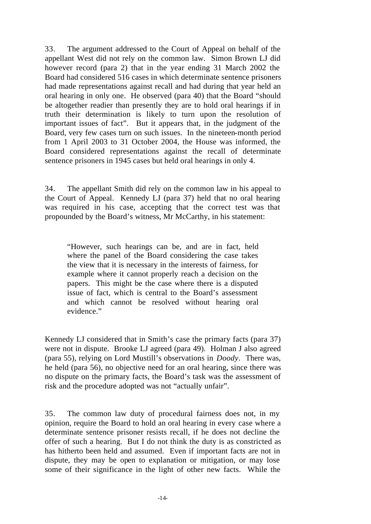33. The argument addressed to the Court of Appeal on behalf of the appellant West did not rely on the common law. Simon Brown LJ did however record (para 2) that in the year ending 31 March 2002 the Board had considered 516 cases in which determinate sentence prisoners had made representations against recall and had during that year held an oral hearing in only one. He observed (para 40) that the Board "should be altogether readier than presently they are to hold oral hearings if in truth their determination is likely to turn upon the resolution of important issues of fact". But it appears that, in the judgment of the Board, very few cases turn on such issues. In the nineteen-month period from 1 April 2003 to 31 October 2004, the House was informed, the Board considered representations against the recall of determinate sentence prisoners in 1945 cases but held oral hearings in only 4.

34. The appellant Smith did rely on the common law in his appeal to the Court of Appeal. Kennedy LJ (para 37) held that no oral hearing was required in his case, accepting that the correct test was that propounded by the Board's witness, Mr McCarthy, in his statement:

"However, such hearings can be, and are in fact, held where the panel of the Board considering the case takes the view that it is necessary in the interests of fairness, for example where it cannot properly reach a decision on the papers. This might be the case where there is a disputed issue of fact, which is central to the Board's assessment and which cannot be resolved without hearing oral evidence."

Kennedy LJ considered that in Smith's case the primary facts (para 37) were not in dispute. Brooke LJ agreed (para 49). Holman J also agreed (para 55), relying on Lord Mustill's observations in *Doody*. There was, he held (para 56), no objective need for an oral hearing, since there was no dispute on the primary facts, the Board's task was the assessment of risk and the procedure adopted was not "actually unfair".

35. The common law duty of procedural fairness does not, in my opinion, require the Board to hold an oral hearing in every case where a determinate sentence prisoner resists recall, if he does not decline the offer of such a hearing. But I do not think the duty is as constricted as has hitherto been held and assumed. Even if important facts are not in dispute, they may be open to explanation or mitigation, or may lose some of their significance in the light of other new facts. While the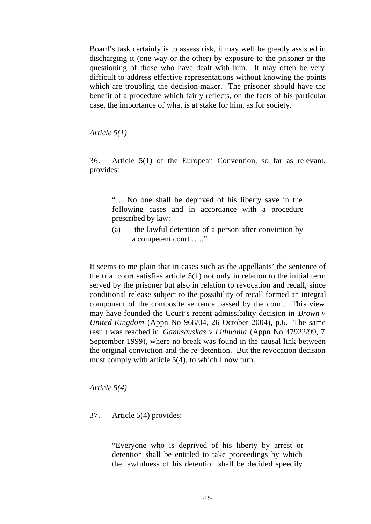Board's task certainly is to assess risk, it may well be greatly assisted in discharging it (one way or the other) by exposure to the prisoner or the questioning of those who have dealt with him. It may often be very difficult to address effective representations without knowing the points which are troubling the decision-maker. The prisoner should have the benefit of a procedure which fairly reflects, on the facts of his particular case, the importance of what is at stake for him, as for society.

*Article 5(1)*

36. Article 5(1) of the European Convention, so far as relevant, provides:

"… No one shall be deprived of his liberty save in the following cases and in accordance with a procedure prescribed by law:

(a) the lawful detention of a person after conviction by a competent court ….."

It seems to me plain that in cases such as the appellants' the sentence of the trial court satisfies article 5(1) not only in relation to the initial term served by the prisoner but also in relation to revocation and recall, since conditional release subject to the possibility of recall formed an integral component of the composite sentence passed by the court. This view may have founded the Court's recent admissibility decision in *Brown v United Kingdom* (Appn No 968/04, 26 October 2004), p.6. The same result was reached in *Ganusauskas v Lithuania* (Appn No 47922/99, 7 September 1999), where no break was found in the causal link between the original conviction and the re-detention. But the revocation decision must comply with article 5(4), to which I now turn.

*Article 5(4)*

#### 37. Article 5(4) provides:

"Everyone who is deprived of his liberty by arrest or detention shall be entitled to take proceedings by which the lawfulness of his detention shall be decided speedily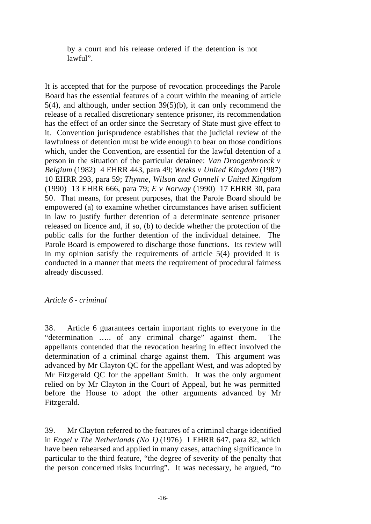by a court and his release ordered if the detention is not lawful".

It is accepted that for the purpose of revocation proceedings the Parole Board has the essential features of a court within the meaning of article 5(4), and although, under section 39(5)(b), it can only recommend the release of a recalled discretionary sentence prisoner, its recommendation has the effect of an order since the Secretary of State must give effect to it. Convention jurisprudence establishes that the judicial review of the lawfulness of detention must be wide enough to bear on those conditions which, under the Convention, are essential for the lawful detention of a person in the situation of the particular detainee: *Van Droogenbroeck v Belgium* (1982) 4 EHRR 443, para 49; *Weeks v United Kingdom* (1987) 10 EHRR 293, para 59; *Thynne, Wilson and Gunnell v United Kingdom* (1990) 13 EHRR 666, para 79; *E v Norway* (1990) 17 EHRR 30, para 50. That means, for present purposes, that the Parole Board should be empowered (a) to examine whether circumstances have arisen sufficient in law to justify further detention of a determinate sentence prisoner released on licence and, if so, (b) to decide whether the protection of the public calls for the further detention of the individual detainee. The Parole Board is empowered to discharge those functions. Its review will in my opinion satisfy the requirements of article 5(4) provided it is conducted in a manner that meets the requirement of procedural fairness already discussed.

#### *Article 6 - criminal*

38. Article 6 guarantees certain important rights to everyone in the "determination ….. of any criminal charge" against them. The appellants contended that the revocation hearing in effect involved the determination of a criminal charge against them. This argument was advanced by Mr Clayton QC for the appellant West, and was adopted by Mr Fitzgerald QC for the appellant Smith. It was the only argument relied on by Mr Clayton in the Court of Appeal, but he was permitted before the House to adopt the other arguments advanced by Mr Fitzgerald.

39. Mr Clayton referred to the features of a criminal charge identified in *Engel v The Netherlands (No 1)* (1976) 1 EHRR 647, para 82, which have been rehearsed and applied in many cases, attaching significance in particular to the third feature, "the degree of severity of the penalty that the person concerned risks incurring". It was necessary, he argued, "to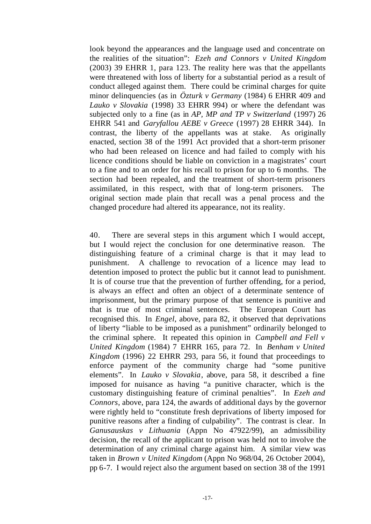look beyond the appearances and the language used and concentrate on the realities of the situation": *Ezeh and Connors v United Kingdom* (2003) 39 EHRR 1, para 123. The reality here was that the appellants were threatened with loss of liberty for a substantial period as a result of conduct alleged against them. There could be criminal charges for quite minor delinquencies (as in *Özturk v Germany* (1984) 6 EHRR 409 and *Lauko v Slovakia* (1998) 33 EHRR 994) or where the defendant was subjected only to a fine (as in *AP, MP and TP v Switzerland* (1997) 26 EHRR 541 and *Garyfallou AEBE v Greece* (1997) 28 EHRR 344). In contrast, the liberty of the appellants was at stake. As originally enacted, section 38 of the 1991 Act provided that a short-term prisoner who had been released on licence and had failed to comply with his licence conditions should be liable on conviction in a magistrates' court to a fine and to an order for his recall to prison for up to 6 months. The section had been repealed, and the treatment of short-term prisoners assimilated, in this respect, with that of long-term prisoners. The original section made plain that recall was a penal process and the changed procedure had altered its appearance, not its reality.

40. There are several steps in this argument which I would accept, but I would reject the conclusion for one determinative reason. The distinguishing feature of a criminal charge is that it may lead to punishment. A challenge to revocation of a licence may lead to detention imposed to protect the public but it cannot lead to punishment. It is of course true that the prevention of further offending, for a period, is always an effect and often an object of a determinate sentence of imprisonment, but the primary purpose of that sentence is punitive and that is true of most criminal sentences. The European Court has recognised this. In *Engel*, above, para 82, it observed that deprivations of liberty "liable to be imposed as a punishment" ordinarily belonged to the criminal sphere. It repeated this opinion in *Campbell and Fell v United Kingdom* (1984) 7 EHRR 165, para 72. In *Benham v United Kingdom* (1996) 22 EHRR 293, para 56, it found that proceedings to enforce payment of the community charge had "some punitive elements". In *Lauko v Slovakia*, above, para 58, it described a fine imposed for nuisance as having "a punitive character, which is the customary distinguishing feature of criminal penalties". In *Ezeh and Connors*, above, para 124, the awards of additional days by the governor were rightly held to "constitute fresh deprivations of liberty imposed for punitive reasons after a finding of culpability". The contrast is clear. In *Ganusauskas v Lithuania* (Appn No 47922/99), an admissibility decision, the recall of the applicant to prison was held not to involve the determination of any criminal charge against him. A similar view was taken in *Brown v United Kingdom* (Appn No 968/04, 26 October 2004), pp 6-7. I would reject also the argument based on section 38 of the 1991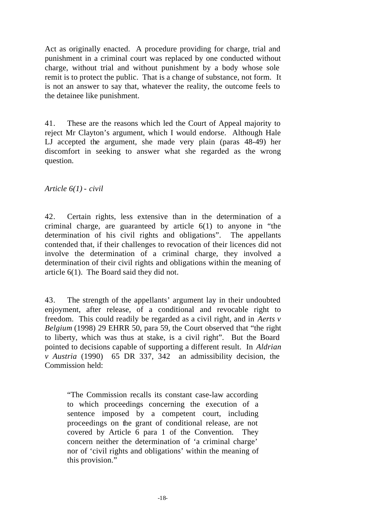Act as originally enacted. A procedure providing for charge, trial and punishment in a criminal court was replaced by one conducted without charge, without trial and without punishment by a body whose sole remit is to protect the public. That is a change of substance, not form. It is not an answer to say that, whatever the reality, the outcome feels to the detainee like punishment.

41. These are the reasons which led the Court of Appeal majority to reject Mr Clayton's argument, which I would endorse. Although Hale LJ accepted the argument, she made very plain (paras 48-49) her discomfort in seeking to answer what she regarded as the wrong question.

*Article 6(1) - civil*

42. Certain rights, less extensive than in the determination of a criminal charge, are guaranteed by article 6(1) to anyone in "the determination of his civil rights and obligations". The appellants contended that, if their challenges to revocation of their licences did not involve the determination of a criminal charge, they involved a determination of their civil rights and obligations within the meaning of article 6(1). The Board said they did not.

43. The strength of the appellants' argument lay in their undoubted enjoyment, after release, of a conditional and revocable right to freedom. This could readily be regarded as a civil right, and in *Aerts v Belgium* (1998) 29 EHRR 50, para 59, the Court observed that "the right to liberty, which was thus at stake, is a civil right". But the Board pointed to decisions capable of supporting a different result. In *Aldrian v Austria* (1990) 65 DR 337, 342 an admissibility decision, the Commission held:

"The Commission recalls its constant case-law according to which proceedings concerning the execution of a sentence imposed by a competent court, including proceedings on the grant of conditional release, are not covered by Article 6 para 1 of the Convention. They concern neither the determination of 'a criminal charge' nor of 'civil rights and obligations' within the meaning of this provision."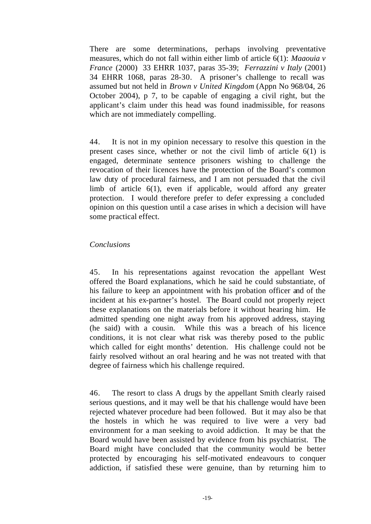There are some determinations, perhaps involving preventative measures, which do not fall within either limb of article 6(1): *Maaouia v France* (2000) 33 EHRR 1037, paras 35-39; *Ferrazzini v Italy* (2001) 34 EHRR 1068, paras 28-30. A prisoner's challenge to recall was assumed but not held in *Brown v United Kingdom* (Appn No 968/04, 26 October 2004), p 7, to be capable of engaging a civil right, but the applicant's claim under this head was found inadmissible, for reasons which are not immediately compelling.

44. It is not in my opinion necessary to resolve this question in the present cases since, whether or not the civil limb of article 6(1) is engaged, determinate sentence prisoners wishing to challenge the revocation of their licences have the protection of the Board's common law duty of procedural fairness, and I am not persuaded that the civil limb of article 6(1), even if applicable, would afford any greater protection. I would therefore prefer to defer expressing a concluded opinion on this question until a case arises in which a decision will have some practical effect.

#### *Conclusions*

45. In his representations against revocation the appellant West offered the Board explanations, which he said he could substantiate, of his failure to keep an appointment with his probation officer and of the incident at his ex-partner's hostel. The Board could not properly reject these explanations on the materials before it without hearing him. He admitted spending one night away from his approved address, staying (he said) with a cousin. While this was a breach of his licence conditions, it is not clear what risk was thereby posed to the public which called for eight months' detention. His challenge could not be fairly resolved without an oral hearing and he was not treated with that degree of fairness which his challenge required.

46. The resort to class A drugs by the appellant Smith clearly raised serious questions, and it may well be that his challenge would have been rejected whatever procedure had been followed. But it may also be that the hostels in which he was required to live were a very bad environment for a man seeking to avoid addiction. It may be that the Board would have been assisted by evidence from his psychiatrist. The Board might have concluded that the community would be better protected by encouraging his self-motivated endeavours to conquer addiction, if satisfied these were genuine, than by returning him to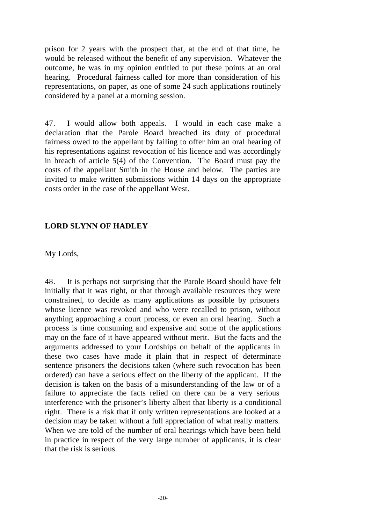prison for 2 years with the prospect that, at the end of that time, he would be released without the benefit of any supervision. Whatever the outcome, he was in my opinion entitled to put these points at an oral hearing. Procedural fairness called for more than consideration of his representations, on paper, as one of some 24 such applications routinely considered by a panel at a morning session.

47. I would allow both appeals. I would in each case make a declaration that the Parole Board breached its duty of procedural fairness owed to the appellant by failing to offer him an oral hearing of his representations against revocation of his licence and was accordingly in breach of article 5(4) of the Convention. The Board must pay the costs of the appellant Smith in the House and below. The parties are invited to make written submissions within 14 days on the appropriate costs order in the case of the appellant West.

#### **LORD SLYNN OF HADLEY**

My Lords,

48. It is perhaps not surprising that the Parole Board should have felt initially that it was right, or that through available resources they were constrained, to decide as many applications as possible by prisoners whose licence was revoked and who were recalled to prison, without anything approaching a court process, or even an oral hearing. Such a process is time consuming and expensive and some of the applications may on the face of it have appeared without merit. But the facts and the arguments addressed to your Lordships on behalf of the applicants in these two cases have made it plain that in respect of determinate sentence prisoners the decisions taken (where such revocation has been ordered) can have a serious effect on the liberty of the applicant. If the decision is taken on the basis of a misunderstanding of the law or of a failure to appreciate the facts relied on there can be a very serious interference with the prisoner's liberty albeit that liberty is a conditional right. There is a risk that if only written representations are looked at a decision may be taken without a full appreciation of what really matters. When we are told of the number of oral hearings which have been held in practice in respect of the very large number of applicants, it is clear that the risk is serious.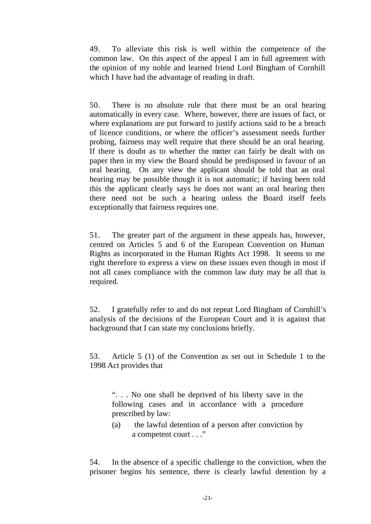49. To alleviate this risk is well within the competence of the common law. On this aspect of the appeal I am in full agreement with the opinion of my noble and learned friend Lord Bingham of Cornhill which I have had the advantage of reading in draft.

50. There is no absolute rule that there must be an oral hearing automatically in every case. Where, however, there are issues of fact, or where explanations are put forward to justify actions said to be a breach of licence conditions, or where the officer's assessment needs further probing, fairness may well require that there should be an oral hearing. If there is doubt as to whether the matter can fairly be dealt with on paper then in my view the Board should be predisposed in favour of an oral hearing. On any view the applicant should be told that an oral hearing may be possible though it is not automatic; if having been told this the applicant clearly says he does not want an oral hearing then there need not be such a hearing unless the Board itself feels exceptionally that fairness requires one.

51. The greater part of the argument in these appeals has, however, centred on Articles 5 and 6 of the European Convention on Human Rights as incorporated in the Human Rights Act 1998. It seems to me right therefore to express a view on these issues even though in most if not all cases compliance with the common law duty may be all that is required.

52. I gratefully refer to and do not repeat Lord Bingham of Cornhill's analysis of the decisions of the European Court and it is against that background that I can state my conclusions briefly.

53. Article 5 (1) of the Convention as set out in Schedule 1 to the 1998 Act provides that

". . . No one shall be deprived of his liberty save in the following cases and in accordance with a procedure prescribed by law:

(a) the lawful detention of a person after conviction by a competent court . . ."

54. In the absence of a specific challenge to the conviction, when the prisoner begins his sentence, there is clearly lawful detention by a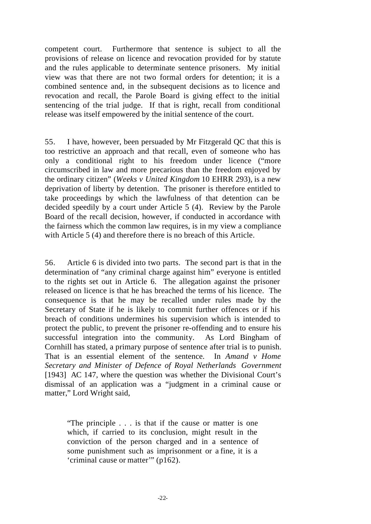competent court. Furthermore that sentence is subject to all the provisions of release on licence and revocation provided for by statute and the rules applicable to determinate sentence prisoners. My initial view was that there are not two formal orders for detention; it is a combined sentence and, in the subsequent decisions as to licence and revocation and recall, the Parole Board is giving effect to the initial sentencing of the trial judge. If that is right, recall from conditional release was itself empowered by the initial sentence of the court.

55. I have, however, been persuaded by Mr Fitzgerald QC that this is too restrictive an approach and that recall, even of someone who has only a conditional right to his freedom under licence ("more circumscribed in law and more precarious than the freedom enjoyed by the ordinary citizen" (*Weeks v United Kingdom* 10 EHRR 293), is a new deprivation of liberty by detention. The prisoner is therefore entitled to take proceedings by which the lawfulness of that detention can be decided speedily by a court under Article 5 (4). Review by the Parole Board of the recall decision, however, if conducted in accordance with the fairness which the common law requires, is in my view a compliance with Article 5 (4) and therefore there is no breach of this Article.

56. Article 6 is divided into two parts. The second part is that in the determination of "any criminal charge against him" everyone is entitled to the rights set out in Article 6. The allegation against the prisoner released on licence is that he has breached the terms of his licence. The consequence is that he may be recalled under rules made by the Secretary of State if he is likely to commit further offences or if his breach of conditions undermines his supervision which is intended to protect the public, to prevent the prisoner re-offending and to ensure his successful integration into the community. As Lord Bingham of Cornhill has stated, a primary purpose of sentence after trial is to punish. That is an essential element of the sentence. In *Amand v Home Secretary and Minister of Defence of Royal Netherlands Government* [1943] AC 147, where the question was whether the Divisional Court's dismissal of an application was a "judgment in a criminal cause or matter," Lord Wright said,

"The principle . . . is that if the cause or matter is one which, if carried to its conclusion, might result in the conviction of the person charged and in a sentence of some punishment such as imprisonment or a fine, it is a 'criminal cause or matter'" (p162).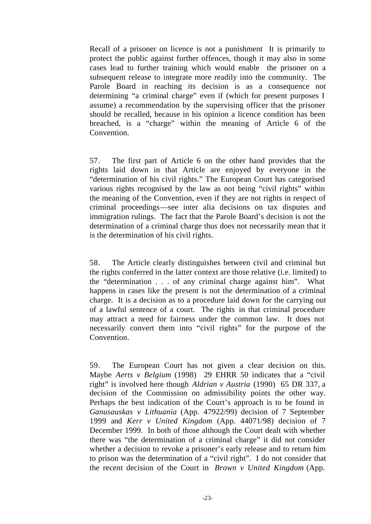Recall of a prisoner on licence is not a punishment It is primarily to protect the public against further offences, though it may also in some cases lead to further training which would enable the prisoner on a subsequent release to integrate more readily into the community. The Parole Board in reaching its decision is as a consequence not determining "a criminal charge" even if (which for present purposes I assume) a recommendation by the supervising officer that the prisoner should be recalled, because in his opinion a licence condition has been breached, is a "charge" within the meaning of Article 6 of the Convention.

57. The first part of Article 6 on the other hand provides that the rights laid down in that Article are enjoyed by everyone in the "determination of his civil rights." The European Court has categorised various rights recognised by the law as not being "civil rights" within the meaning of the Convention, even if they are not rights in respect of criminal proceedings—see inter alia decisions on tax disputes and immigration rulings. The fact that the Parole Board's decision is not the determination of a criminal charge thus does not necessarily mean that it is the determination of his civil rights.

58. The Article clearly distinguishes between civil and criminal but the rights conferred in the latter context are those relative (i.e. limited) to the "determination . . . of any criminal charge against him". What happens in cases like the present is not the determination of a criminal charge. It is a decision as to a procedure laid down for the carrying out of a lawful sentence of a court. The rights in that criminal procedure may attract a need for fairness under the common law. It does not necessarily convert them into "civil rights" for the purpose of the Convention.

59. The European Court has not given a clear decision on this. Maybe *Aerts v Belgium* (1998) 29 EHRR 50 indicates that a "civil right" is involved here though *Aldrian v Austria* (1990) 65 DR 337, a decision of the Commission on admissibility points the other way. Perhaps the best indication of the Court's approach is to be found in *Ganusauskas v Lithuania* (App. 47922/99) decision of 7 September 1999 and *Kerr v United Kingdom* (App. 44071/98) decision of 7 December 1999. In both of those although the Court dealt with whether there was "the determination of a criminal charge" it did not consider whether a decision to revoke a prisoner's early release and to return him to prison was the determination of a "civil right". I do not consider that the recent decision of the Court in *Brown v United Kingdom* (App.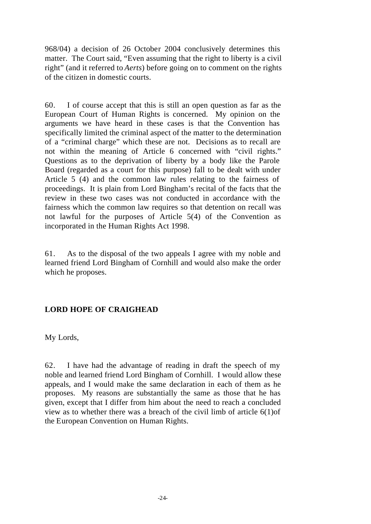968/04) a decision of 26 October 2004 conclusively determines this matter. The Court said, "Even assuming that the right to liberty is a civil right" (and it referred to *Aerts*) before going on to comment on the rights of the citizen in domestic courts.

60. I of course accept that this is still an open question as far as the European Court of Human Rights is concerned. My opinion on the arguments we have heard in these cases is that the Convention has specifically limited the criminal aspect of the matter to the determination of a "criminal charge" which these are not. Decisions as to recall are not within the meaning of Article 6 concerned with "civil rights." Questions as to the deprivation of liberty by a body like the Parole Board (regarded as a court for this purpose) fall to be dealt with under Article 5 (4) and the common law rules relating to the fairness of proceedings. It is plain from Lord Bingham's recital of the facts that the review in these two cases was not conducted in accordance with the fairness which the common law requires so that detention on recall was not lawful for the purposes of Article 5(4) of the Convention as incorporated in the Human Rights Act 1998.

61. As to the disposal of the two appeals I agree with my noble and learned friend Lord Bingham of Cornhill and would also make the order which he proposes.

#### **LORD HOPE OF CRAIGHEAD**

My Lords,

62. I have had the advantage of reading in draft the speech of my noble and learned friend Lord Bingham of Cornhill. I would allow these appeals, and I would make the same declaration in each of them as he proposes. My reasons are substantially the same as those that he has given, except that I differ from him about the need to reach a concluded view as to whether there was a breach of the civil limb of article 6(1)of the European Convention on Human Rights.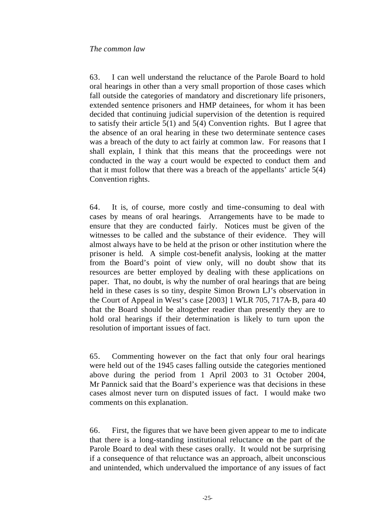#### *The common law*

63. I can well understand the reluctance of the Parole Board to hold oral hearings in other than a very small proportion of those cases which fall outside the categories of mandatory and discretionary life prisoners, extended sentence prisoners and HMP detainees, for whom it has been decided that continuing judicial supervision of the detention is required to satisfy their article 5(1) and 5(4) Convention rights. But I agree that the absence of an oral hearing in these two determinate sentence cases was a breach of the duty to act fairly at common law. For reasons that I shall explain, I think that this means that the proceedings were not conducted in the way a court would be expected to conduct them and that it must follow that there was a breach of the appellants' article 5(4) Convention rights.

64. It is, of course, more costly and time-consuming to deal with cases by means of oral hearings. Arrangements have to be made to ensure that they are conducted fairly. Notices must be given of the witnesses to be called and the substance of their evidence. They will almost always have to be held at the prison or other institution where the prisoner is held. A simple cost-benefit analysis, looking at the matter from the Board's point of view only, will no doubt show that its resources are better employed by dealing with these applications on paper. That, no doubt, is why the number of oral hearings that are being held in these cases is so tiny, despite Simon Brown LJ's observation in the Court of Appeal in West's case [2003] 1 WLR 705, 717A-B, para 40 that the Board should be altogether readier than presently they are to hold oral hearings if their determination is likely to turn upon the resolution of important issues of fact.

65. Commenting however on the fact that only four oral hearings were held out of the 1945 cases falling outside the categories mentioned above during the period from 1 April 2003 to 31 October 2004, Mr Pannick said that the Board's experience was that decisions in these cases almost never turn on disputed issues of fact. I would make two comments on this explanation.

66. First, the figures that we have been given appear to me to indicate that there is a long-standing institutional reluctance on the part of the Parole Board to deal with these cases orally. It would not be surprising if a consequence of that reluctance was an approach, albeit unconscious and unintended, which undervalued the importance of any issues of fact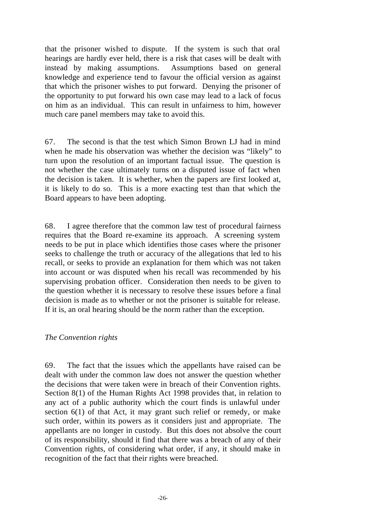that the prisoner wished to dispute. If the system is such that oral hearings are hardly ever held, there is a risk that cases will be dealt with instead by making assumptions. Assumptions based on general knowledge and experience tend to favour the official version as against that which the prisoner wishes to put forward. Denying the prisoner of the opportunity to put forward his own case may lead to a lack of focus on him as an individual. This can result in unfairness to him, however much care panel members may take to avoid this.

67. The second is that the test which Simon Brown LJ had in mind when he made his observation was whether the decision was "likely" to turn upon the resolution of an important factual issue. The question is not whether the case ultimately turns on a disputed issue of fact when the decision is taken. It is whether, when the papers are first looked at, it is likely to do so. This is a more exacting test than that which the Board appears to have been adopting.

68. I agree therefore that the common law test of procedural fairness requires that the Board re-examine its approach. A screening system needs to be put in place which identifies those cases where the prisoner seeks to challenge the truth or accuracy of the allegations that led to his recall, or seeks to provide an explanation for them which was not taken into account or was disputed when his recall was recommended by his supervising probation officer. Consideration then needs to be given to the question whether it is necessary to resolve these issues before a final decision is made as to whether or not the prisoner is suitable for release. If it is, an oral hearing should be the norm rather than the exception.

#### *The Convention rights*

69. The fact that the issues which the appellants have raised can be dealt with under the common law does not answer the question whether the decisions that were taken were in breach of their Convention rights. Section 8(1) of the Human Rights Act 1998 provides that, in relation to any act of a public authority which the court finds is unlawful under section 6(1) of that Act, it may grant such relief or remedy, or make such order, within its powers as it considers just and appropriate. The appellants are no longer in custody. But this does not absolve the court of its responsibility, should it find that there was a breach of any of their Convention rights, of considering what order, if any, it should make in recognition of the fact that their rights were breached.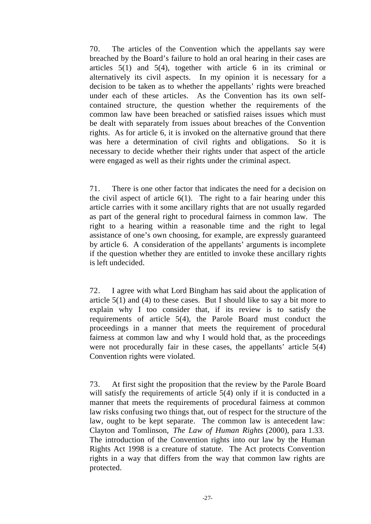70. The articles of the Convention which the appellants say were breached by the Board's failure to hold an oral hearing in their cases are articles 5(1) and 5(4), together with article 6 in its criminal or alternatively its civil aspects. In my opinion it is necessary for a decision to be taken as to whether the appellants' rights were breached under each of these articles. As the Convention has its own selfcontained structure, the question whether the requirements of the common law have been breached or satisfied raises issues which must be dealt with separately from issues about breaches of the Convention rights. As for article 6, it is invoked on the alternative ground that there was here a determination of civil rights and obligations. So it is necessary to decide whether their rights under that aspect of the article were engaged as well as their rights under the criminal aspect.

71. There is one other factor that indicates the need for a decision on the civil aspect of article  $6(1)$ . The right to a fair hearing under this article carries with it some ancillary rights that are not usually regarded as part of the general right to procedural fairness in common law. The right to a hearing within a reasonable time and the right to legal assistance of one's own choosing, for example, are expressly guaranteed by article 6. A consideration of the appellants' arguments is incomplete if the question whether they are entitled to invoke these ancillary rights is left undecided.

72. I agree with what Lord Bingham has said about the application of article  $5(1)$  and (4) to these cases. But I should like to say a bit more to explain why I too consider that, if its review is to satisfy the requirements of article 5(4), the Parole Board must conduct the proceedings in a manner that meets the requirement of procedural fairness at common law and why I would hold that, as the proceedings were not procedurally fair in these cases, the appellants' article 5(4) Convention rights were violated.

73. At first sight the proposition that the review by the Parole Board will satisfy the requirements of article 5(4) only if it is conducted in a manner that meets the requirements of procedural fairness at common law risks confusing two things that, out of respect for the structure of the law, ought to be kept separate. The common law is antecedent law: Clayton and Tomlinson, *The Law of Human Rights* (2000), para 1.33. The introduction of the Convention rights into our law by the Human Rights Act 1998 is a creature of statute. The Act protects Convention rights in a way that differs from the way that common law rights are protected.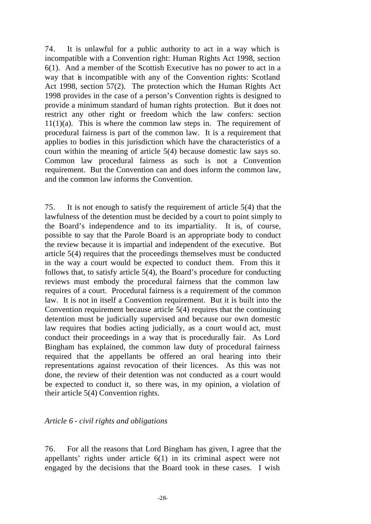74. It is unlawful for a public authority to act in a way which is incompatible with a Convention right: Human Rights Act 1998, section 6(1). And a member of the Scottish Executive has no power to act in a way that is incompatible with any of the Convention rights: Scotland Act 1998, section 57(2). The protection which the Human Rights Act 1998 provides in the case of a person's Convention rights is designed to provide a minimum standard of human rights protection. But it does not restrict any other right or freedom which the law confers: section  $11(1)(a)$ . This is where the common law steps in. The requirement of procedural fairness is part of the common law. It is a requirement that applies to bodies in this jurisdiction which have the characteristics of a court within the meaning of article 5(4) because domestic law says so. Common law procedural fairness as such is not a Convention requirement. But the Convention can and does inform the common law, and the common law informs the Convention.

75. It is not enough to satisfy the requirement of article 5(4) that the lawfulness of the detention must be decided by a court to point simply to the Board's independence and to its impartiality. It is, of course, possible to say that the Parole Board is an appropriate body to conduct the review because it is impartial and independent of the executive. But article 5(4) requires that the proceedings themselves must be conducted in the way a court would be expected to conduct them. From this it follows that, to satisfy article 5(4), the Board's procedure for conducting reviews must embody the procedural fairness that the common law requires of a court. Procedural fairness is a requirement of the common law. It is not in itself a Convention requirement. But it is built into the Convention requirement because article 5(4) requires that the continuing detention must be judicially supervised and because our own domestic law requires that bodies acting judicially, as a court would act, must conduct their proceedings in a way that is procedurally fair. As Lord Bingham has explained, the common law duty of procedural fairness required that the appellants be offered an oral hearing into their representations against revocation of their licences. As this was not done, the review of their detention was not conducted as a court would be expected to conduct it, so there was, in my opinion, a violation of their article 5(4) Convention rights.

#### *Article 6 - civil rights and obligations*

76. For all the reasons that Lord Bingham has given, I agree that the appellants' rights under article 6(1) in its criminal aspect were not engaged by the decisions that the Board took in these cases. I wish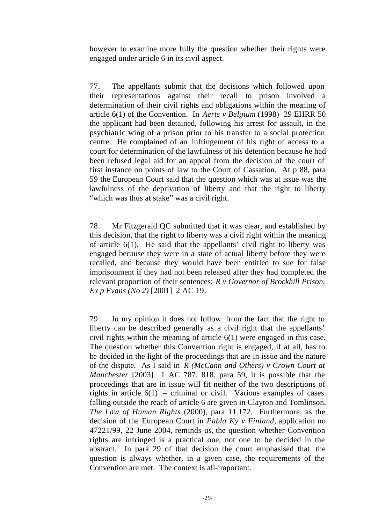however to examine more fully the question whether their rights were engaged under article 6 in its civil aspect.

77. The appellants submit that the decisions which followed upon their representations against their recall to prison involved a determination of their civil rights and obligations within the meaning of article 6(1) of the Convention. In *Aerts v Belgium* (1998) 29 EHRR 50 the applicant had been detained, following his arrest for assault, in the psychiatric wing of a prison prior to his transfer to a social protection centre. He complained of an infringement of his right of access to a court for determination of the lawfulness of his detention because he had been refused legal aid for an appeal from the decision of the court of first instance on points of law to the Court of Cassation. At p 88, para 59 the European Court said that the question which was at issue was the lawfulness of the deprivation of liberty and that the right to liberty "which was thus at stake" was a civil right.

78. Mr Fitzgerald QC submitted that it was clear, and established by this decision, that the right to liberty was a civil right within the meaning of article 6(1). He said that the appellants' civil right to liberty was engaged because they were in a state of actual liberty before they were recalled, and because they would have been entitled to sue for false imprisonment if they had not been released after they had completed the relevant proportion of their sentences: *R v Governor of Brockhill Prison, Ex p Evans (No 2)* [2001] 2 AC 19.

79. In my opinion it does not follow from the fact that the right to liberty can be described generally as a civil right that the appellants' civil rights within the meaning of article 6(1) were engaged in this case. The question whether this Convention right is engaged, if at all, has to be decided in the light of the proceedings that are in issue and the nature of the dispute. As I said in *R (McCann and Others) v Crown Court at Manchester* [2003] 1 AC 787, 818, para 59, it is possible that the proceedings that are in issue will fit neither of the two descriptions of rights in article  $6(1)$  – criminal or civil. Various examples of cases falling outside the reach of article 6 are given in Clayton and Tomlinson, *The Law of Human Rights* (2000), para 11.172. Furthermore, as the decision of the European Court in *Pabla Ky v Finland,* application no 47221/99, 22 June 2004, reminds us, the question whether Convention rights are infringed is a practical one, not one to be decided in the abstract. In para 29 of that decision the court emphasised that the question is always whether, in a given case, the requirements of the Convention are met. The context is all-important.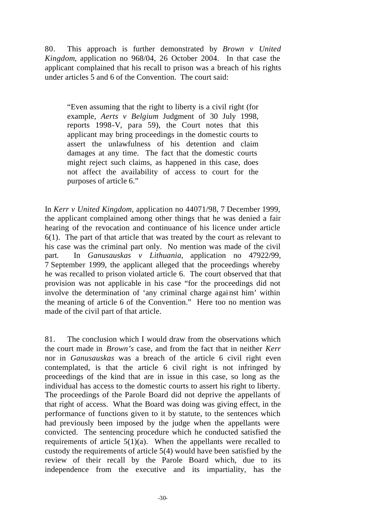80. This approach is further demonstrated by *Brown v United Kingdom*, application no 968/04, 26 October 2004. In that case the applicant complained that his recall to prison was a breach of his rights under articles 5 and 6 of the Convention. The court said:

"Even assuming that the right to liberty is a civil right (for example, *Aerts v Belgium* Judgment of 30 July 1998, reports 1998-V, para 59), the Court notes that this applicant may bring proceedings in the domestic courts to assert the unlawfulness of his detention and claim damages at any time. The fact that the domestic courts might reject such claims, as happened in this case, does not affect the availability of access to court for the purposes of article 6."

In *Kerr v United Kingdom,* application no 44071/98, 7 December 1999, the applicant complained among other things that he was denied a fair hearing of the revocation and continuance of his licence under article 6(1). The part of that article that was treated by the court as relevant to his case was the criminal part only. No mention was made of the civil part. In *Ganusauskas v Lithuania,* application no 47922/99, 7 September 1999, the applicant alleged that the proceedings whereby he was recalled to prison violated article 6. The court observed that that provision was not applicable in his case "for the proceedings did not involve the determination of 'any criminal charge against him' within the meaning of article 6 of the Convention." Here too no mention was made of the civil part of that article.

81. The conclusion which I would draw from the observations which the court made in *Brown's* case, and from the fact that in neither *Kerr*  nor in *Ganusauskas* was a breach of the article 6 civil right even contemplated, is that the article 6 civil right is not infringed by proceedings of the kind that are in issue in this case, so long as the individual has access to the domestic courts to assert his right to liberty. The proceedings of the Parole Board did not deprive the appellants of that right of access. What the Board was doing was giving effect, in the performance of functions given to it by statute, to the sentences which had previously been imposed by the judge when the appellants were convicted. The sentencing procedure which he conducted satisfied the requirements of article  $5(1)(a)$ . When the appellants were recalled to custody the requirements of article 5(4) would have been satisfied by the review of their recall by the Parole Board which, due to its independence from the executive and its impartiality, has the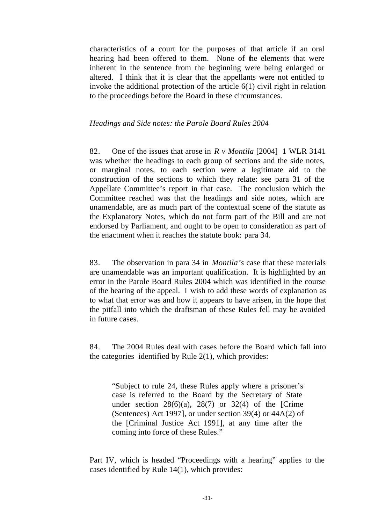characteristics of a court for the purposes of that article if an oral hearing had been offered to them. None of the elements that were inherent in the sentence from the beginning were being enlarged or altered. I think that it is clear that the appellants were not entitled to invoke the additional protection of the article 6(1) civil right in relation to the proceedings before the Board in these circumstances.

#### *Headings and Side notes: the Parole Board Rules 2004*

82. One of the issues that arose in *R v Montila* [2004] 1 WLR 3141 was whether the headings to each group of sections and the side notes, or marginal notes, to each section were a legitimate aid to the construction of the sections to which they relate: see para 31 of the Appellate Committee's report in that case. The conclusion which the Committee reached was that the headings and side notes, which are unamendable, are as much part of the contextual scene of the statute as the Explanatory Notes, which do not form part of the Bill and are not endorsed by Parliament, and ought to be open to consideration as part of the enactment when it reaches the statute book: para 34.

83. The observation in para 34 in *Montila's* case that these materials are unamendable was an important qualification. It is highlighted by an error in the Parole Board Rules 2004 which was identified in the course of the hearing of the appeal. I wish to add these words of explanation as to what that error was and how it appears to have arisen, in the hope that the pitfall into which the draftsman of these Rules fell may be avoided in future cases.

84. The 2004 Rules deal with cases before the Board which fall into the categories identified by Rule 2(1), which provides:

"Subject to rule 24, these Rules apply where a prisoner's case is referred to the Board by the Secretary of State under section  $28(6)(a)$ ,  $28(7)$  or  $32(4)$  of the [Crime] (Sentences) Act 1997], or under section 39(4) or 44A(2) of the [Criminal Justice Act 1991], at any time after the coming into force of these Rules."

Part IV, which is headed "Proceedings with a hearing" applies to the cases identified by Rule 14(1), which provides: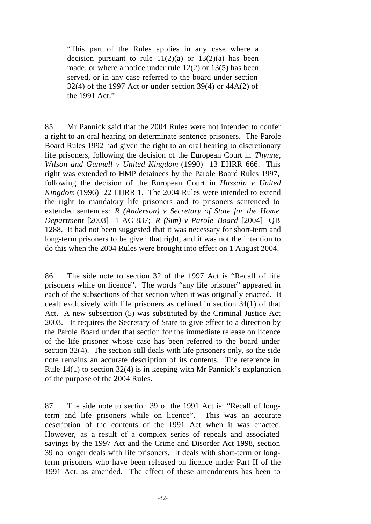"This part of the Rules applies in any case where a decision pursuant to rule  $11(2)(a)$  or  $13(2)(a)$  has been made, or where a notice under rule 12(2) or 13(5) has been served, or in any case referred to the board under section  $32(4)$  of the 1997 Act or under section 39(4) or 44A(2) of the 1991 Act."

85. Mr Pannick said that the 2004 Rules were not intended to confer a right to an oral hearing on determinate sentence prisoners. The Parole Board Rules 1992 had given the right to an oral hearing to discretionary life prisoners, following the decision of the European Court in *Thynne, Wilson and Gunnell v United Kingdom* (1990) 13 EHRR 666. This right was extended to HMP detainees by the Parole Board Rules 1997, following the decision of the European Court in *Hussain v United Kingdom* (1996) 22 EHRR 1. The 2004 Rules were intended to extend the right to mandatory life prisoners and to prisoners sentenced to extended sentences: *R (Anderson) v Secretary of State for the Home Department* [2003] 1 AC 837; *R (Sim) v Parole Board* [2004] QB 1288. It had not been suggested that it was necessary for short-term and long-term prisoners to be given that right, and it was not the intention to do this when the 2004 Rules were brought into effect on 1 August 2004.

86. The side note to section 32 of the 1997 Act is "Recall of life prisoners while on licence". The words "any life prisoner" appeared in each of the subsections of that section when it was originally enacted. It dealt exclusively with life prisoners as defined in section 34(1) of that Act. A new subsection (5) was substituted by the Criminal Justice Act 2003. It requires the Secretary of State to give effect to a direction by the Parole Board under that section for the immediate release on licence of the life prisoner whose case has been referred to the board under section 32(4). The section still deals with life prisoners only, so the side note remains an accurate description of its contents. The reference in Rule 14(1) to section 32(4) is in keeping with Mr Pannick's explanation of the purpose of the 2004 Rules.

87. The side note to section 39 of the 1991 Act is: "Recall of longterm and life prisoners while on licence". This was an accurate description of the contents of the 1991 Act when it was enacted. However, as a result of a complex series of repeals and associated savings by the 1997 Act and the Crime and Disorder Act 1998, section 39 no longer deals with life prisoners. It deals with short-term or longterm prisoners who have been released on licence under Part II of the 1991 Act, as amended. The effect of these amendments has been to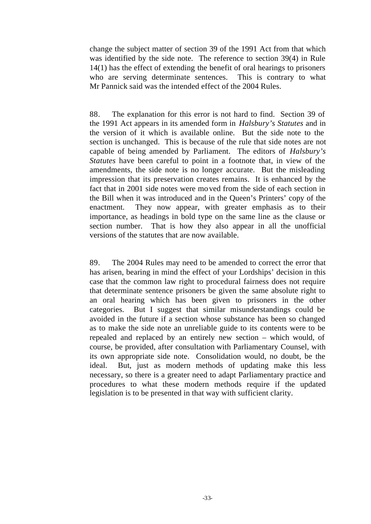change the subject matter of section 39 of the 1991 Act from that which was identified by the side note. The reference to section 39(4) in Rule 14(1) has the effect of extending the benefit of oral hearings to prisoners who are serving determinate sentences. This is contrary to what Mr Pannick said was the intended effect of the 2004 Rules.

88. The explanation for this error is not hard to find. Section 39 of the 1991 Act appears in its amended form in *Halsbury's Statutes* and in the version of it which is available online. But the side note to the section is unchanged. This is because of the rule that side notes are not capable of being amended by Parliament. The editors of *Halsbury's Statutes* have been careful to point in a footnote that, in view of the amendments, the side note is no longer accurate. But the misleading impression that its preservation creates remains. It is enhanced by the fact that in 2001 side notes were moved from the side of each section in the Bill when it was introduced and in the Queen's Printers' copy of the enactment. They now appear, with greater emphasis as to their importance, as headings in bold type on the same line as the clause or section number. That is how they also appear in all the unofficial versions of the statutes that are now available.

89. The 2004 Rules may need to be amended to correct the error that has arisen, bearing in mind the effect of your Lordships' decision in this case that the common law right to procedural fairness does not require that determinate sentence prisoners be given the same absolute right to an oral hearing which has been given to prisoners in the other categories. But I suggest that similar misunderstandings could be avoided in the future if a section whose substance has been so changed as to make the side note an unreliable guide to its contents were to be repealed and replaced by an entirely new section – which would, of course, be provided, after consultation with Parliamentary Counsel, with its own appropriate side note. Consolidation would, no doubt, be the ideal. But, just as modern methods of updating make this less necessary, so there is a greater need to adapt Parliamentary practice and procedures to what these modern methods require if the updated legislation is to be presented in that way with sufficient clarity.